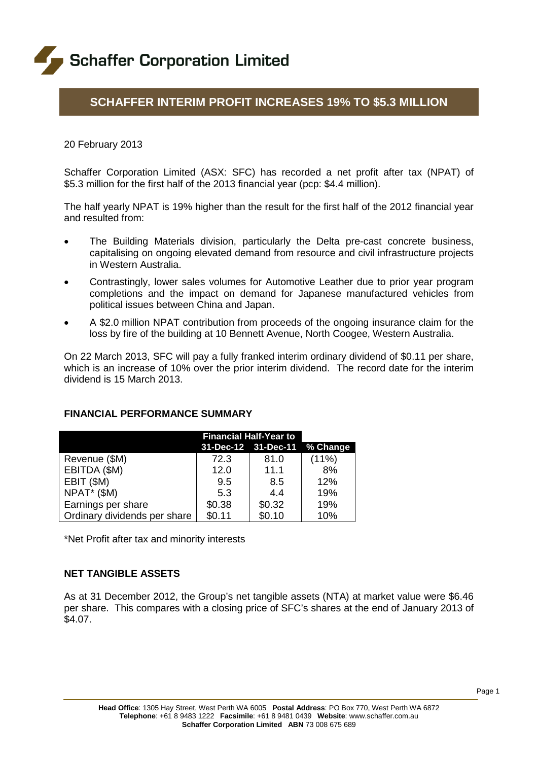

# **SCHAFFER INTERIM PROFIT INCREASES 19% TO \$5.3 MILLION**

## 20 February 2013

Schaffer Corporation Limited (ASX: SFC) has recorded a net profit after tax (NPAT) of \$5.3 million for the first half of the 2013 financial year (pcp: \$4.4 million).

The half yearly NPAT is 19% higher than the result for the first half of the 2012 financial year and resulted from:

- The Building Materials division, particularly the Delta pre-cast concrete business, capitalising on ongoing elevated demand from resource and civil infrastructure projects in Western Australia.
- Contrastingly, lower sales volumes for Automotive Leather due to prior year program completions and the impact on demand for Japanese manufactured vehicles from political issues between China and Japan.
- A \$2.0 million NPAT contribution from proceeds of the ongoing insurance claim for the loss by fire of the building at 10 Bennett Avenue, North Coogee, Western Australia.

On 22 March 2013, SFC will pay a fully franked interim ordinary dividend of \$0.11 per share, which is an increase of 10% over the prior interim dividend. The record date for the interim dividend is 15 March 2013.

## **FINANCIAL PERFORMANCE SUMMARY**

|                              | <b>Financial Half-Year to</b> |                              |          |
|------------------------------|-------------------------------|------------------------------|----------|
|                              |                               | 31-Dec-12 31-Dec-11 % Change |          |
| Revenue (\$M)                | 72.3                          | 81.0                         | $(11\%)$ |
| EBITDA (\$M)                 | 12.0                          | 11.1                         | 8%       |
| EBIT (\$M)                   | 9.5                           | 8.5                          | 12%      |
| $NPAT^*($M)$                 | 5.3                           | 4.4                          | 19%      |
| Earnings per share           | \$0.38                        | \$0.32                       | 19%      |
| Ordinary dividends per share | \$0.11                        | \$0.10                       | 10%      |

\*Net Profit after tax and minority interests

## **NET TANGIBLE ASSETS**

As at 31 December 2012, the Group's net tangible assets (NTA) at market value were \$6.46 per share. This compares with a closing price of SFC's shares at the end of January 2013 of \$4.07.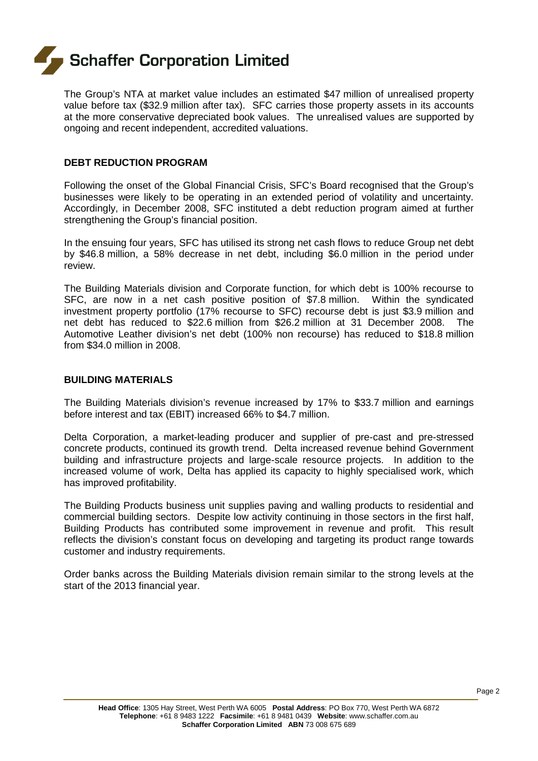

The Group's NTA at market value includes an estimated \$47 million of unrealised property value before tax (\$32.9 million after tax). SFC carries those property assets in its accounts at the more conservative depreciated book values. The unrealised values are supported by ongoing and recent independent, accredited valuations.

## **DEBT REDUCTION PROGRAM**

Following the onset of the Global Financial Crisis, SFC's Board recognised that the Group's businesses were likely to be operating in an extended period of volatility and uncertainty. Accordingly, in December 2008, SFC instituted a debt reduction program aimed at further strengthening the Group's financial position.

In the ensuing four years, SFC has utilised its strong net cash flows to reduce Group net debt by \$46.8 million, a 58% decrease in net debt, including \$6.0 million in the period under review.

The Building Materials division and Corporate function, for which debt is 100% recourse to SFC, are now in a net cash positive position of \$7.8 million. Within the syndicated investment property portfolio (17% recourse to SFC) recourse debt is just \$3.9 million and net debt has reduced to \$22.6 million from \$26.2 million at 31 December 2008. The Automotive Leather division's net debt (100% non recourse) has reduced to \$18.8 million from \$34.0 million in 2008.

#### **BUILDING MATERIALS**

The Building Materials division's revenue increased by 17% to \$33.7 million and earnings before interest and tax (EBIT) increased 66% to \$4.7 million.

Delta Corporation, a market-leading producer and supplier of pre-cast and pre-stressed concrete products, continued its growth trend. Delta increased revenue behind Government building and infrastructure projects and large-scale resource projects. In addition to the increased volume of work, Delta has applied its capacity to highly specialised work, which has improved profitability.

The Building Products business unit supplies paving and walling products to residential and commercial building sectors. Despite low activity continuing in those sectors in the first half, Building Products has contributed some improvement in revenue and profit. This result reflects the division's constant focus on developing and targeting its product range towards customer and industry requirements.

Order banks across the Building Materials division remain similar to the strong levels at the start of the 2013 financial year.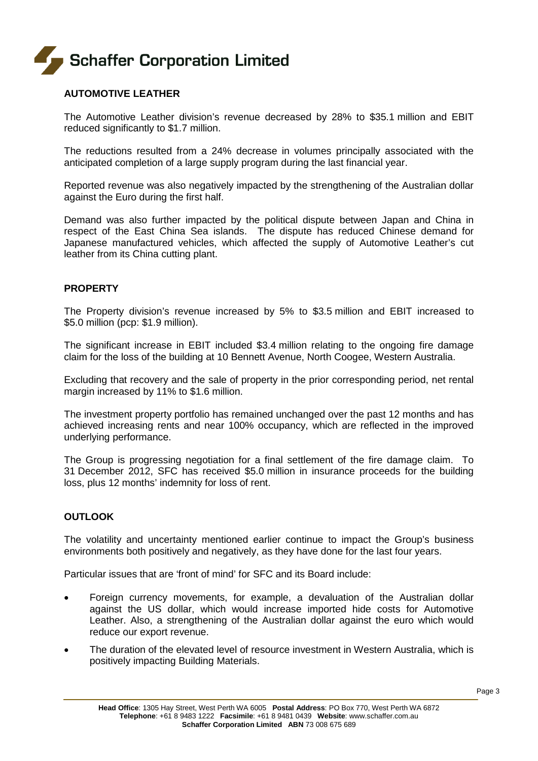

## **AUTOMOTIVE LEATHER**

The Automotive Leather division's revenue decreased by 28% to \$35.1 million and EBIT reduced significantly to \$1.7 million.

The reductions resulted from a 24% decrease in volumes principally associated with the anticipated completion of a large supply program during the last financial year.

Reported revenue was also negatively impacted by the strengthening of the Australian dollar against the Euro during the first half.

Demand was also further impacted by the political dispute between Japan and China in respect of the East China Sea islands. The dispute has reduced Chinese demand for Japanese manufactured vehicles, which affected the supply of Automotive Leather's cut leather from its China cutting plant.

## **PROPERTY**

The Property division's revenue increased by 5% to \$3.5 million and EBIT increased to \$5.0 million (pcp: \$1.9 million).

The significant increase in EBIT included \$3.4 million relating to the ongoing fire damage claim for the loss of the building at 10 Bennett Avenue, North Coogee, Western Australia.

Excluding that recovery and the sale of property in the prior corresponding period, net rental margin increased by 11% to \$1.6 million.

The investment property portfolio has remained unchanged over the past 12 months and has achieved increasing rents and near 100% occupancy, which are reflected in the improved underlying performance.

The Group is progressing negotiation for a final settlement of the fire damage claim. To 31 December 2012, SFC has received \$5.0 million in insurance proceeds for the building loss, plus 12 months' indemnity for loss of rent.

## **OUTLOOK**

The volatility and uncertainty mentioned earlier continue to impact the Group's business environments both positively and negatively, as they have done for the last four years.

Particular issues that are 'front of mind' for SFC and its Board include:

- Foreign currency movements, for example, a devaluation of the Australian dollar against the US dollar, which would increase imported hide costs for Automotive Leather. Also, a strengthening of the Australian dollar against the euro which would reduce our export revenue.
- The duration of the elevated level of resource investment in Western Australia, which is positively impacting Building Materials.